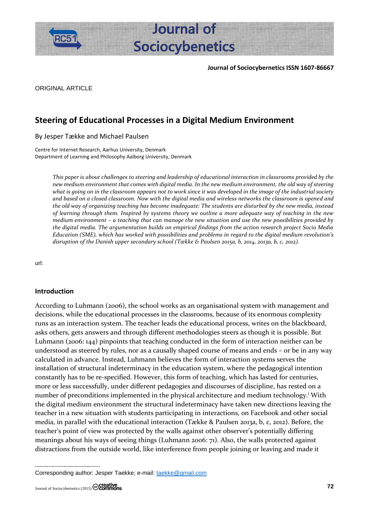



**Journal of** 

ORIGINAL ARTICLE

# **Steering of Educational Processes in a Digital Medium Environment**

By Jesper Tække and Michael Paulsen

Centre for Internet Research, Aarhus University, Denmark Department of Learning and Philosophy Aalborg University, Denmark

> *This paper is about challenges to steering and leadership of educational interaction in classrooms provided by the new medium environment that comes with digital media. In the new medium environment, the old way of steering what is going on in the classroom appears not to work since it was developed in the image of the industrial society and based on a closed classroom. Now with the digital media and wireless networks the classroom is opened and the old way of organizing teaching has become inadequate: The students are disturbed by the new media, instead of learning through them. Inspired by systems theory we outline a more adequate way of teaching in the new medium environment – a teaching that can manage the new situation and use the new possibilities provided by the digital media. The argumentation builds on empirical findings from the action research project Socio Media Education (SME), which has worked with possibilities and problems in regard to the digital medium revolution's disruption of the Danish upper secondary school (Tække & Paulsen 2015a, b, 2014, 2013a, b, c, 2012).*

url:

#### **Introduction**

According to Luhmann (2006), the school works as an organisational system with management and decisions, while the educational processes in the classrooms, because of its enormous complexity runs as an interaction system. The teacher leads the educational process, writes on the blackboard, asks others, gets answers and through different methodologies steers as though it is possible. But Luhmann (2006: 144) pinpoints that teaching conducted in the form of interaction neither can be understood as steered by rules, nor as a causally shaped course of means and ends – or be in any way calculated in advance. Instead, Luhmann believes the form of interaction systems serves the installation of structural indeterminacy in the education system, where the pedagogical intention constantly has to be re-specified. However, this form of teaching, which has lasted for centuries, more or less successfully, under different pedagogies and discourses of discipline, has rested on a number of preconditions implemented in the physical architecture and medium technology.<sup>i</sup> With the digital medium environment the structural indeterminacy have taken new directions leaving the teacher in a new situation with students participating in interactions, on Facebook and other social media, in parallel with the educational interaction (Tække & Paulsen 2013a, b, c, 2012). Before, the teacher's point of view was protected by the walls against other observer's potentially differing meanings about his ways of seeing things (Luhmann 2006: 71). Also, the walls protected against distractions from the outside world, like interference from people joining or leaving and made it

Corresponding author: Jesper Taekke; e-mail: [taekke@gmail.com](mailto:taekke@gmail.com)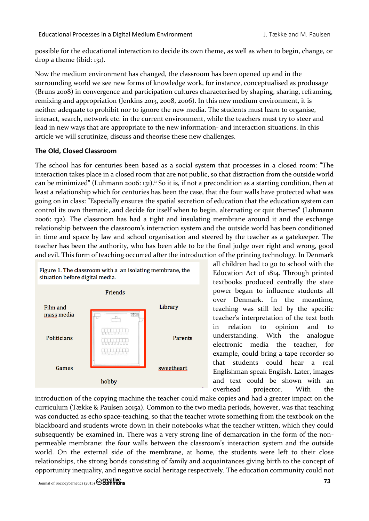possible for the educational interaction to decide its own theme, as well as when to begin, change, or drop a theme (ibid: 131).

Now the medium environment has changed, the classroom has been opened up and in the surrounding world we see new forms of knowledge work, for instance, conceptualised as produsage (Bruns 2008) in convergence and participation cultures characterised by shaping, sharing, reframing, remixing and appropriation (Jenkins 2013, 2008, 2006). In this new medium environment, it is neither adequate to prohibit nor to ignore the new media. The students must learn to organise, interact, search, network etc. in the current environment, while the teachers must try to steer and lead in new ways that are appropriate to the new information- and interaction situations. In this article we will scrutinize, discuss and theorise these new challenges.

# **The Old, Closed Classroom**

The school has for centuries been based as a social system that processes in a closed room: "The interaction takes place in a closed room that are not public, so that distraction from the outside world can be minimized" (Luhmann 2006: 131).<sup>ii</sup> So it is, if not a precondition as a starting condition, then at least a relationship which for centuries has been the case, that the four walls have protected what was going on in class: "Especially ensures the spatial secretion of education that the education system can control its own thematic, and decide for itself when to begin, alternating or quit themes" (Luhmann 2006: 132). The classroom has had a tight and insulating membrane around it and the exchange relationship between the classroom's interaction system and the outside world has been conditioned in time and space by law and school organisation and steered by the teacher as a gatekeeper. The teacher has been the authority, who has been able to be the final judge over right and wrong, good and evil. This form of teaching occurred after the introduction of the printing technology. In Denmark



all children had to go to school with the Education Act of 1814. Through printed textbooks produced centrally the state power began to influence students all over Denmark. In the meantime, teaching was still led by the specific teacher's interpretation of the text both in relation to opinion and to understanding. With the analogue electronic media the teacher, for example, could bring a tape recorder so that students could hear a real Englishman speak English. Later, images and text could be shown with an overhead projector. With the

introduction of the copying machine the teacher could make copies and had a greater impact on the curriculum (Tække & Paulsen 2015a). Common to the two media periods, however, was that teaching was conducted as echo space-teaching, so that the teacher wrote something from the textbook on the blackboard and students wrote down in their notebooks what the teacher written, which they could subsequently be examined in. There was a very strong line of demarcation in the form of the nonpermeable membrane: the four walls between the classroom's interaction system and the outside world. On the external side of the membrane, at home, the students were left to their close relationships, the strong bonds consisting of family and acquaintances giving birth to the concept of opportunity inequality, and negative social heritage respectively. The education community could not

Journal of Sociocybernetics (2015) **73**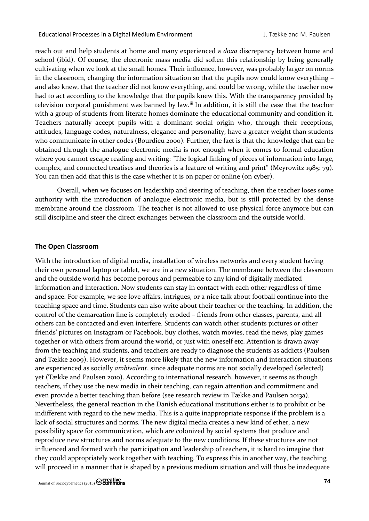reach out and help students at home and many experienced a *doxa* discrepancy between home and school (ibid). Of course, the electronic mass media did soften this relationship by being generally cultivating when we look at the small homes. Their influence, however, was probably larger on norms in the classroom, changing the information situation so that the pupils now could know everything – and also knew, that the teacher did not know everything, and could be wrong, while the teacher now had to act according to the knowledge that the pupils knew this. With the transparency provided by television corporal punishment was banned by law.<sup>iii</sup> In addition, it is still the case that the teacher with a group of students from literate homes dominate the educational community and condition it. Teachers naturally accept pupils with a dominant social origin who, through their receptions, attitudes, language codes, naturalness, elegance and personality, have a greater weight than students who communicate in other codes (Bourdieu 2000). Further, the fact is that the knowledge that can be obtained through the analogue electronic media is not enough when it comes to formal education where you cannot escape reading and writing: "The logical linking of pieces of information into large, complex, and connected treatises and theories is a feature of writing and print" (Meyrowitz 1985: 79). You can then add that this is the case whether it is on paper or online (on cyber).

Overall, when we focuses on leadership and steering of teaching, then the teacher loses some authority with the introduction of analogue electronic media, but is still protected by the dense membrane around the classroom. The teacher is not allowed to use physical force anymore but can still discipline and steer the direct exchanges between the classroom and the outside world.

### **The Open Classroom**

With the introduction of digital media, installation of wireless networks and every student having their own personal laptop or tablet, we are in a new situation. The membrane between the classroom and the outside world has become porous and permeable to any kind of digitally mediated information and interaction. Now students can stay in contact with each other regardless of time and space. For example, we see love affairs, intrigues, or a nice talk about football continue into the teaching space and time. Students can also write about their teacher or the teaching. In addition, the control of the demarcation line is completely eroded – friends from other classes, parents, and all others can be contacted and even interfere. Students can watch other students pictures or other friends' pictures on Instagram or Facebook, buy clothes, watch movies, read the news, play games together or with others from around the world, or just with oneself etc. Attention is drawn away from the teaching and students, and teachers are ready to diagnose the students as addicts (Paulsen and Tække 2009). However, it seems more likely that the new information and interaction situations are experienced as socially *ambivalent*, since adequate norms are not socially developed (selected) yet (Tække and Paulsen 2010). According to international research, however, it seems as though teachers, if they use the new media in their teaching, can regain attention and commitment and even provide a better teaching than before (see research review in Tække and Paulsen 2013a). Nevertheless, the general reaction in the Danish educational institutions either is to prohibit or be indifferent with regard to the new media. This is a quite inappropriate response if the problem is a lack of social structures and norms. The new digital media creates a new kind of ether, a new possibility space for communication, which are colonized by social systems that produce and reproduce new structures and norms adequate to the new conditions. If these structures are not influenced and formed with the participation and leadership of teachers, it is hard to imagine that they could appropriately work together with teaching. To express this in another way, the teaching will proceed in a manner that is shaped by a previous medium situation and will thus be inadequate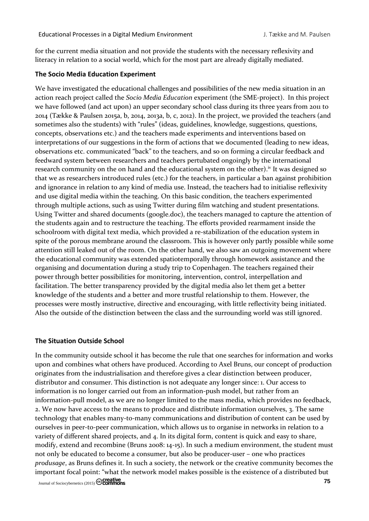for the current media situation and not provide the students with the necessary reflexivity and literacy in relation to a social world, which for the most part are already digitally mediated.

#### **The Socio Media Education Experiment**

We have investigated the educational challenges and possibilities of the new media situation in an action reach project called the *Socio Media Education* experiment (the SME-project). In this project we have followed (and act upon) an upper secondary school class during its three years from 2011 to 2014 (Tække & Paulsen 2015a, b, 2014, 2013a, b, c, 2012). In the project, we provided the teachers (and sometimes also the students) with "rules" (ideas, guidelines, knowledge, suggestions, questions, concepts, observations etc.) and the teachers made experiments and interventions based on interpretations of our suggestions in the form of actions that we documented (leading to new ideas, observations etc. communicated "back" to the teachers, and so on forming a circular feedback and feedward system between researchers and teachers pertubated ongoingly by the international research community on the on hand and the educational system on the other).<sup>iv</sup> It was designed so that we as researchers introduced rules (etc.) for the teachers, in particular a ban against prohibition and ignorance in relation to any kind of media use. Instead, the teachers had to initialise reflexivity and use digital media within the teaching. On this basic condition, the teachers experimented through multiple actions, such as using Twitter during film watching and student presentations. Using Twitter and shared documents (google.doc), the teachers managed to capture the attention of the students again and to restructure the teaching. The efforts provided rearmament inside the schoolroom with digital text media, which provided a re-stabilization of the education system in spite of the porous membrane around the classroom. This is however only partly possible while some attention still leaked out of the room. On the other hand, we also saw an outgoing movement where the educational community was extended spatiotemporally through homework assistance and the organising and documentation during a study trip to Copenhagen. The teachers regained their power through better possibilities for monitoring, intervention, control, interpellation and facilitation. The better transparency provided by the digital media also let them get a better knowledge of the students and a better and more trustful relationship to them. However, the processes were mostly instructive, directive and encouraging, with little reflectivity being initiated. Also the outside of the distinction between the class and the surrounding world was still ignored.

#### **The Situation Outside School**

Journal of Sociocybernetics (2015) **75** In the community outside school it has become the rule that one searches for information and works upon and combines what others have produced. According to Axel Bruns, our concept of production originates from the industrialisation and therefore gives a clear distinction between producer, distributor and consumer. This distinction is not adequate any longer since: 1. Our access to information is no longer carried out from an information-push model, but rather from an information-pull model, as we are no longer limited to the mass media, which provides no feedback, 2. We now have access to the means to produce and distribute information ourselves, 3. The same technology that enables many-to-many communications and distribution of content can be used by ourselves in peer-to-peer communication, which allows us to organise in networks in relation to a variety of different shared projects, and 4. In its digital form, content is quick and easy to share, modify, extend and recombine (Bruns 2008: 14-15). In such a medium environment, the student must not only be educated to become a consumer, but also be producer-user – one who practices *produsage*, as Bruns defines it. In such a society, the network or the creative community becomes the important focal point: "what the network model makes possible is the existence of a distributed but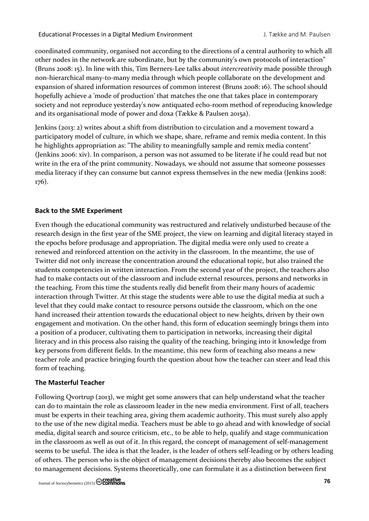coordinated community, organised not according to the directions of a central authority to which all other nodes in the network are subordinate, but by the community's own protocols of interaction" (Bruns 2008: 15). In line with this, Tim Berners-Lee talks about *intercreativity* made possible through non-hierarchical many-to-many media through which people collaborate on the development and expansion of shared information resources of common interest (Bruns 2008: 16). The school should hopefully achieve a 'mode of production' that matches the one that takes place in contemporary society and not reproduce yesterday's now antiquated echo-room method of reproducing knowledge and its organisational mode of power and doxa (Tække & Paulsen 2015a).

Jenkins (2013: 2) writes about a shift from distribution to circulation and a movement toward a participatory model of culture, in which we shape, share, reframe and remix media content. In this he highlights appropriation as: "The ability to meaningfully sample and remix media content" (Jenkins 2006: xiv). In comparison, a person was not assumed to be literate if he could read but not write in the era of the print community. Nowadays, we should not assume that someone possesses media literacy if they can consume but cannot express themselves in the new media (Jenkins 2008: 176).

# **Back to the SME Experiment**

Even though the educational community was restructured and relatively undisturbed because of the research design in the first year of the SME project, the view on learning and digital literacy stayed in the epochs before produsage and appropriation. The digital media were only used to create a renewed and reinforced attention on the activity in the classroom. In the meantime, the use of Twitter did not only increase the concentration around the educational topic, but also trained the students competencies in written interaction. From the second year of the project, the teachers also had to make contacts out of the classroom and include external resources, persons and networks in the teaching. From this time the students really did benefit from their many hours of academic interaction through Twitter. At this stage the students were able to use the digital media at such a level that they could make contact to resource persons outside the classroom, which on the one hand increased their attention towards the educational object to new heights, driven by their own engagement and motivation. On the other hand, this form of education seemingly brings them into a position of a producer, cultivating them to participation in networks, increasing their digital literacy and in this process also raising the quality of the teaching, bringing into it knowledge from key persons from different fields. In the meantime, this new form of teaching also means a new teacher role and practice bringing fourth the question about how the teacher can steer and lead this form of teaching.

# **The Masterful Teacher**

Following Qvortrup (2013), we might get some answers that can help understand what the teacher can do to maintain the role as classroom leader in the new media environment. First of all, teachers must be experts in their teaching area, giving them academic authority. This must surely also apply to the use of the new digital media. Teachers must be able to go ahead and with knowledge of social media, digital search and source criticism, etc., to be able to help, qualify and stage communication in the classroom as well as out of it. In this regard, the concept of management of self-management seems to be useful. The idea is that the leader, is the leader of others self-leading or by others leading of others. The person who is the object of management decisions thereby also becomes the subject to management decisions. Systems theoretically, one can formulate it as a distinction between first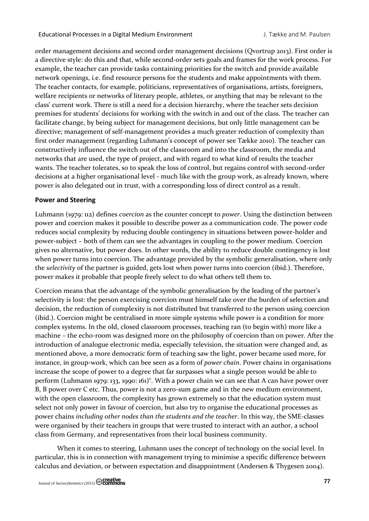order management decisions and second order management decisions (Qvortrup 2013). First order is a directive style: do this and that, while second-order sets goals and frames for the work process. For example, the teacher can provide tasks containing priorities for the switch and provide available network openings, i.e. find resource persons for the students and make appointments with them. The teacher contacts, for example, politicians, representatives of organisations, artists, foreigners, welfare recipients or networks of literary people, athletes, or anything that may be relevant to the class' current work. There is still a need for a decision hierarchy, where the teacher sets decision premises for students' decisions for working with the switch in and out of the class. The teacher can facilitate change, by being subject for management decisions, but only little management can be directive; management of self-management provides a much greater reduction of complexity than first order management (regarding Luhmann's concept of power see Tække 2010). The teacher can constructively influence the switch out of the classroom and into the classroom, the media and networks that are used, the type of project, and with regard to what kind of results the teacher wants. The teacher tolerates, so to speak the loss of control, but regains control with second-order decisions at a higher organisational level - much like with the group work, as already known, where power is also delegated out in trust, with a corresponding loss of direct control as a result.

# **Power and Steering**

Luhmann (1979: 112) defines *coercion* as the counter concept to *power*. Using the distinction between power and coercion makes it possible to describe power as a communication code. The power code reduces social complexity by reducing double contingency in situations between power-holder and power-subject – both of them can see the advantages in coupling to the power medium. Coercion gives no alternative, but power does. In other words, the ability to reduce double contingency is lost when power turns into coercion. The advantage provided by the symbolic generalisation, where only the *selectivity* of the partner is guided, gets lost when power turns into coercion (ibid.). Therefore, power makes it probable that people freely select to do what others tell them to.

Coercion means that the advantage of the symbolic generalisation by the leading of the partner's selectivity is lost: the person exercising coercion must himself take over the burden of selection and decision, the reduction of complexity is not distributed but transferred to the person using coercion (ibid.). Coercion might be centralised in more simple systems while power is a condition for more complex systems. In the old, closed classroom processes, teaching ran (to begin with) more like a machine – the echo-room was designed more on the philosophy of coercion than on power. After the introduction of analogue electronic media, especially television, the situation were changed and, as mentioned above, a more democratic form of teaching saw the light, power became used more, for instance, in group-work, which can bee seen as a form of *power chain*. Power chains in organisations increase the scope of power to a degree that far surpasses what a single person would be able to perform (Luhmann 1979: 133, 1990: 161)<sup>v</sup>. With a power chain we can see that A can have power over B, B power over C etc. Thus, power is not a zero-sum game and in the new medium environment, with the open classroom, the complexity has grown extremely so that the education system must select not only power in favour of coercion, but also try to organise the educational processes as power chains *including other nodes than the students and the teacher*. In this way, the SME-classes were organised by their teachers in groups that were trusted to interact with an author, a school class from Germany, and representatives from their local business community.

When it comes to steering, Luhmann uses the concept of technology on the social level. In particular, this is in connection with management trying to minimise a specific difference between calculus and deviation, or between expectation and disappointment (Andersen & Thygesen 2004).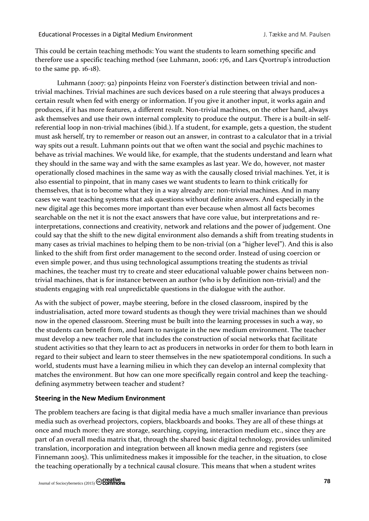This could be certain teaching methods: You want the students to learn something specific and therefore use a specific teaching method (see Luhmann, 2006: 176, and Lars Qvortrup's introduction to the same pp. 16-18).

Luhmann (2007: 92) pinpoints Heinz von Foerster's distinction between trivial and nontrivial machines. Trivial machines are such devices based on a rule steering that always produces a certain result when fed with energy or information. If you give it another input, it works again and produces, if it has more features, a different result. Non-trivial machines, on the other hand, always ask themselves and use their own internal complexity to produce the output. There is a built-in selfreferential loop in non-trivial machines (ibid.). If a student, for example, gets a question, the student must ask herself, try to remember or reason out an answer, in contrast to a calculator that in a trivial way spits out a result. Luhmann points out that we often want the social and psychic machines to behave as trivial machines. We would like, for example, that the students understand and learn what they should in the same way and with the same examples as last year. We do, however, not master operationally closed machines in the same way as with the causally closed trivial machines. Yet, it is also essential to pinpoint, that in many cases we want students to learn to think critically for themselves, that is to become what they in a way already are: non-trivial machines. And in many cases we want teaching systems that ask questions without definite answers. And especially in the new digital age this becomes more important than ever because when almost all facts becomes searchable on the net it is not the exact answers that have core value, but interpretations and reinterpretations, connections and creativity, network and relations and the power of judgement. One could say that the shift to the new digital environment also demands a shift from treating students in many cases as trivial machines to helping them to be non-trivial (on a "higher level"). And this is also linked to the shift from first order management to the second order. Instead of using coercion or even simple power, and thus using technological assumptions treating the students as trivial machines, the teacher must try to create and steer educational valuable power chains between nontrivial machines, that is for instance between an author (who is by definition non-trivial) and the students engaging with real unpredictable questions in the dialogue with the author.

As with the subject of power, maybe steering, before in the closed classroom, inspired by the industrialisation, acted more toward students as though they were trivial machines than we should now in the opened classroom. Steering must be built into the learning processes in such a way, so the students can benefit from, and learn to navigate in the new medium environment. The teacher must develop a new teacher role that includes the construction of social networks that facilitate student activities so that they learn to act as producers in networks in order for them to both learn in regard to their subject and learn to steer themselves in the new spatiotemporal conditions. In such a world, students must have a learning milieu in which they can develop an internal complexity that matches the environment. But how can one more specifically regain control and keep the teachingdefining asymmetry between teacher and student?

# **Steering in the New Medium Environment**

The problem teachers are facing is that digital media have a much smaller invariance than previous media such as overhead projectors, copiers, blackboards and books. They are all of these things at once and much more: they are storage, searching, copying, interaction medium etc., since they are part of an overall media matrix that, through the shared basic digital technology, provides unlimited translation, incorporation and integration between all known media genre and registers (see Finnemann 2005). This unlimitedness makes it impossible for the teacher, in the situation, to close the teaching operationally by a technical causal closure. This means that when a student writes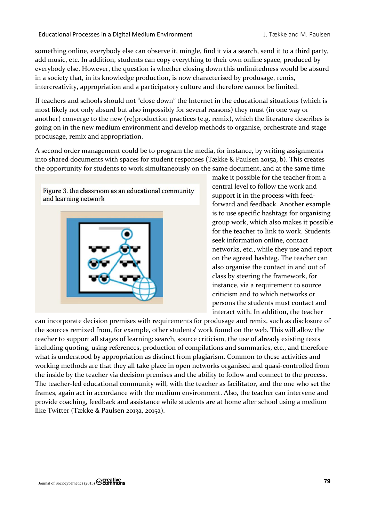something online, everybody else can observe it, mingle, find it via a search, send it to a third party, add music, etc. In addition, students can copy everything to their own online space, produced by everybody else. However, the question is whether closing down this unlimitedness would be absurd in a society that, in its knowledge production, is now characterised by produsage, remix, intercreativity, appropriation and a participatory culture and therefore cannot be limited.

If teachers and schools should not "close down" the Internet in the educational situations (which is most likely not only absurd but also impossibly for several reasons) they must (in one way or another) converge to the new (re)production practices (e.g. remix), which the literature describes is going on in the new medium environment and develop methods to organise, orchestrate and stage produsage, remix and appropriation.

A second order management could be to program the media, for instance, by writing assignments into shared documents with spaces for student responses (Tække & Paulsen 2015a, b). This creates the opportunity for students to work simultaneously on the same document, and at the same time



make it possible for the teacher from a central level to follow the work and support it in the process with feedforward and feedback. Another example is to use specific hashtags for organising group work, which also makes it possible for the teacher to link to work. Students seek information online, contact networks, etc., while they use and report on the agreed hashtag. The teacher can also organise the contact in and out of class by steering the framework, for instance, via a requirement to source criticism and to which networks or persons the students must contact and interact with. In addition, the teacher

can incorporate decision premises with requirements for produsage and remix, such as disclosure of the sources remixed from, for example, other students' work found on the web. This will allow the teacher to support all stages of learning: search, source criticism, the use of already existing texts including quoting, using references, production of compilations and summaries, etc., and therefore what is understood by appropriation as distinct from plagiarism. Common to these activities and working methods are that they all take place in open networks organised and quasi-controlled from the inside by the teacher via decision premises and the ability to follow and connect to the process. The teacher-led educational community will, with the teacher as facilitator, and the one who set the frames, again act in accordance with the medium environment. Also, the teacher can intervene and provide coaching, feedback and assistance while students are at home after school using a medium like Twitter (Tække & Paulsen 2013a, 2015a).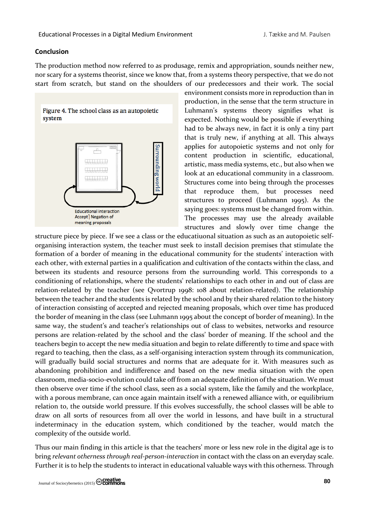### **Conclusion**

The production method now referred to as produsage, remix and appropriation, sounds neither new, nor scary for a systems theorist, since we know that, from a systems theory perspective, that we do not start from scratch, but stand on the shoulders of our predecessors and their work. The social



environment consists more in reproduction than in production, in the sense that the term structure in Luhmann's systems theory signifies what is expected. Nothing would be possible if everything had to be always new, in fact it is only a tiny part that is truly new, if anything at all. This always applies for autopoietic systems and not only for content production in scientific, educational, artistic, mass media systems, etc., but also when we look at an educational community in a classroom. Structures come into being through the processes that reproduce them, but processes need structures to proceed (Luhmann 1995). As the saying goes: systems must be changed from within. The processes may use the already available structures and slowly over time change the

structure piece by piece. If we see a class or the educatiuonal situation as such as an autopoietic selforganising interaction system, the teacher must seek to install decision premises that stimulate the formation of a border of meaning in the educational community for the students' interaction with each other, with external parties in a qualification and cultivation of the contacts within the class, and between its students and resource persons from the surrounding world. This corresponds to a conditioning of relationships, where the students' relationships to each other in and out of class are relation-related by the teacher (see Qvortrup 1998: 108 about relation-related). The relationship between the teacher and the students is related by the school and by their shared relation to the history of interaction consisting of accepted and rejected meaning proposals, which over time has produced the border of meaning in the class (see Luhmann 1995 about the concept of border of meaning). In the same way, the student's and teacher's relationships out of class to websites, networks and resource persons are relation-related by the school and the class' border of meaning. If the school and the teachers begin to accept the new media situation and begin to relate differently to time and space with regard to teaching, then the class, as a self-organising interaction system through its communication, will gradually build social structures and norms that are adequate for it. With measures such as abandoning prohibition and indifference and based on the new media situation with the open classroom, media-socio-evolution could take off from an adequate definition of the situation. We must then observe over time if the school class, seen as a social system, like the family and the workplace, with a porous membrane, can once again maintain itself with a renewed alliance with, or equilibrium relation to, the outside world pressure. If this evolves successfully, the school classes will be able to draw on all sorts of resources from all over the world in lessons, and have built in a structural indeterminacy in the education system, which conditioned by the teacher, would match the complexity of the outside world.

Thus our main finding in this article is that the teachers' more or less new role in the digital age is to bring *relevant otherness through real-person-interaction* in contact with the class on an everyday scale. Further it is to help the students to interact in educational valuable ways with this otherness. Through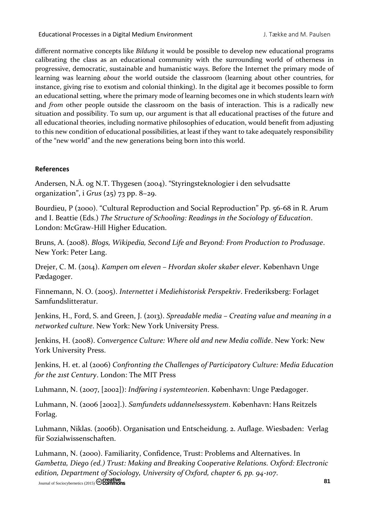different normative concepts like *Bildung* it would be possible to develop new educational programs calibrating the class as an educational community with the surrounding world of otherness in progressive, democratic, sustainable and humanistic ways. Before the Internet the primary mode of learning was learning *about* the world outside the classroom (learning about other countries, for instance, giving rise to exotism and colonial thinking). In the digital age it becomes possible to form an educational setting, where the primary mode of learning becomes one in which students learn *with* and *from* other people outside the classroom on the basis of interaction. This is a radically new situation and possibility. To sum up, our argument is that all educational practises of the future and all educational theories, including normative philosophies of education, would benefit from adjusting to this new condition of educational possibilities, at least if they want to take adequately responsibility of the "new world" and the new generations being born into this world.

# **References**

Andersen, N.Å. og N.T. Thygesen (2004). "Styringsteknologier i den selvudsatte organization", i *Grus* (25) 73 pp. 8−29.

Bourdieu, P (2000). "Cultural Reproduction and Social Reproduction" Pp. 56-68 in R. Arum and I. Beattie (Eds.) *The Structure of Schooling: Readings in the Sociology of Education*. London: McGraw-Hill Higher Education.

Bruns, A. (2008). *Blogs, Wikipedia, Second Life and Beyond: From Production to Produsage*. New York: Peter Lang.

Drejer, C. M. (2014). *Kampen om eleven – Hvordan skoler skaber elever*. København Unge Pædagoger.

Finnemann, N. O. (2005). *Internettet i Mediehistorisk Perspektiv*. Frederiksberg: Forlaget Samfundslitteratur.

Jenkins, H., Ford, S. and Green, J. (2013). *Spreadable media – Creating value and meaning in a networked culture*. New York: New York University Press.

Jenkins, H. (2008). *Convergence Culture: Where old and new Media collide*. New York: New York University Press.

Jenkins, H. et. al (2006) *Confronting the Challenges of Participatory Culture: Media Education for the 21st Century*. London: The MIT Press

Luhmann, N. (2007, [2002]): *Indføring i systemteorien*. København: Unge Pædagoger.

Luhmann, N. (2006 [2002].). *Samfundets uddannelsessystem*. København: Hans Reitzels Forlag.

Luhmann, Niklas. (2006b). Organisation und Entscheidung. 2. Auflage. Wiesbaden: Verlag für Sozialwissenschaften.

Journal of Sociocybernetics (2015) **81** Luhmann, N. (2000). Familiarity, Confidence, Trust: Problems and Alternatives. In *Gambetta, Diego (ed.) Trust: Making and Breaking Cooperative Relations. Oxford: Electronic edition, Department of Sociology, University of Oxford, chapter 6, pp. 94-107*.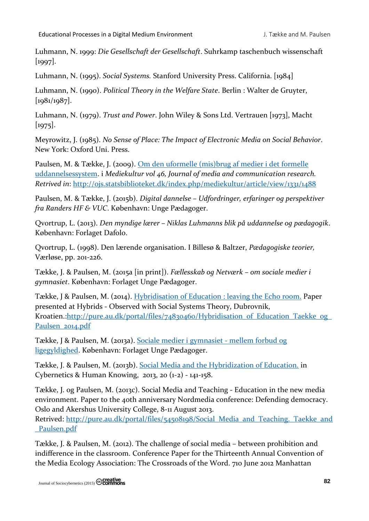Luhmann, N. 1999: *Die Gesellschaft der Gesellschaft*. Suhrkamp taschenbuch wissenschaft [1997].

Luhmann, N. (1995). *Social Systems.* Stanford University Press. California. [1984]

Luhmann, N. (1990). *Political Theory in the Welfare State*. Berlin : Walter de Gruyter, [1981/1987].

Luhmann, N. (1979). *Trust and Power*. John Wiley & Sons Ltd. Vertrauen [1973], Macht [1975].

Meyrowitz, J. (1985). *No Sense of Place: The Impact of Electronic Media on Social Behavior*. New York: Oxford Uni. Press.

Paulsen, M. & Tække, J. (2009). [Om den uformelle \(mis\)brug af medier i det formelle](http://ojs.statsbiblioteket.dk/index.php/mediekultur/article/view/1331/1488)  [uddannelsessystem.](http://ojs.statsbiblioteket.dk/index.php/mediekultur/article/view/1331/1488) i *Mediekultur vol 46, Journal of media and communication research. Retrived in*:<http://ojs.statsbiblioteket.dk/index.php/mediekultur/article/view/1331/1488>

Paulsen, M. & Tække, J. (2015b). *Digital dannelse – Udfordringer, erfaringer og perspektiver fra Randers HF & VUC*. København: Unge Pædagoger.

Qvortrup, L. (2013). *Den myndige lærer – Niklas Luhmanns blik på uddannelse og pædagogik*. København: Forlaget Dafolo.

Qvortrup, L. (1998). Den lærende organisation. I Billesø & Baltzer, *Pædagogiske teorier,*  Værløse, pp. 201-226.

Tække, J. & Paulsen, M. (2015a [in print]). *Fællesskab og Netværk – om sociale medier i gymnasiet*. København: Forlaget Unge Pædagoger.

Tække, J & Paulsen, M. (2014). [Hybridisation of Education : leaving the Echo room.](http://pure.au.dk/portal/da/publications/hybridisation-of-education(4d302091-8451-46c2-8390-2740310a7996).html) Paper presented at Hybrids - Observed with Social Systems Theory, Dubrovnik, Kroatien.:http://pure.au.dk/portal/files/74830460/Hybridisation\_of\_Education\_Taekke\_og [Paulsen\\_2014.pdf](http://pure.au.dk/portal/files/74830460/Hybridisation_of_Education_Taekke_og_Paulsen_2014.pdf)

Tække, J & Paulsen, M. (2013a). [Sociale medier i gymnasiet -](http://www.u-p.dk/default.asp?product=278) mellem forbud og [ligegyldighed.](http://www.u-p.dk/default.asp?product=278) København: Forlaget Unge Pædagoger.

Tække, J. & Paulsen, M. (2013b). [Social Media and the Hybridization of Education.](http://pure.au.dk/portal/da/publications/social-media-and-the-hybridization-of-education(932b1c1e-fb3a-41a9-8f9b-2769b3cc12e3).html) in Cybernetics & Human Knowing, 2013, 2o (1-2) - 141-158.

Tække, J. og Paulsen, M. (2013c). Social Media and Teaching - Education in the new media environment. Paper to the 40th anniversary Nordmedia conference: Defending democracy. Oslo and Akershus University College, 8-11 August 2013.

Retrived: [http://pure.au.dk/portal/files/54508198/Social\\_Media\\_and\\_Teaching.\\_Taekke\\_and](http://pure.au.dk/portal/files/54508198/Social_Media_and_Teaching._Taekke_and_Paulsen.pdf) [\\_Paulsen.pdf](http://pure.au.dk/portal/files/54508198/Social_Media_and_Teaching._Taekke_and_Paulsen.pdf)

Tække, J. & Paulsen, M. (2012). The challenge of social media – between prohibition and indifference in the classroom. Conference Paper for the Thirteenth Annual Convention of the Media Ecology Association: The Crossroads of the Word. 710 June 2012 Manhattan